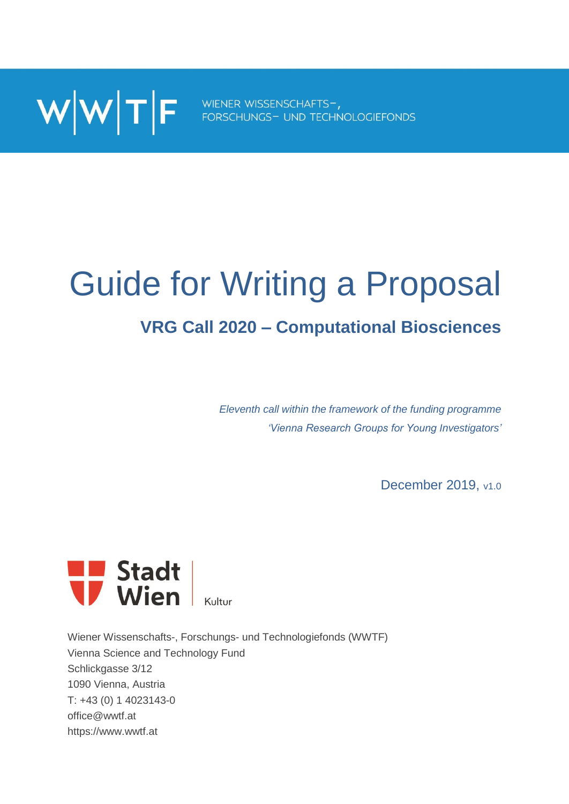

# Guide for Writing a Proposal

## **VRG Call 2020 – Computational Biosciences**

*Eleventh call within the framework of the funding programme 'Vienna Research Groups for Young Investigators'*

December 2019, v1.0



Wiener Wissenschafts-, Forschungs- und Technologiefonds (WWTF) Vienna Science and Technology Fund Schlickgasse 3/12 1090 Vienna, Austria T: +43 (0) 1 4023143-0 office@wwtf.at https://www.wwtf.at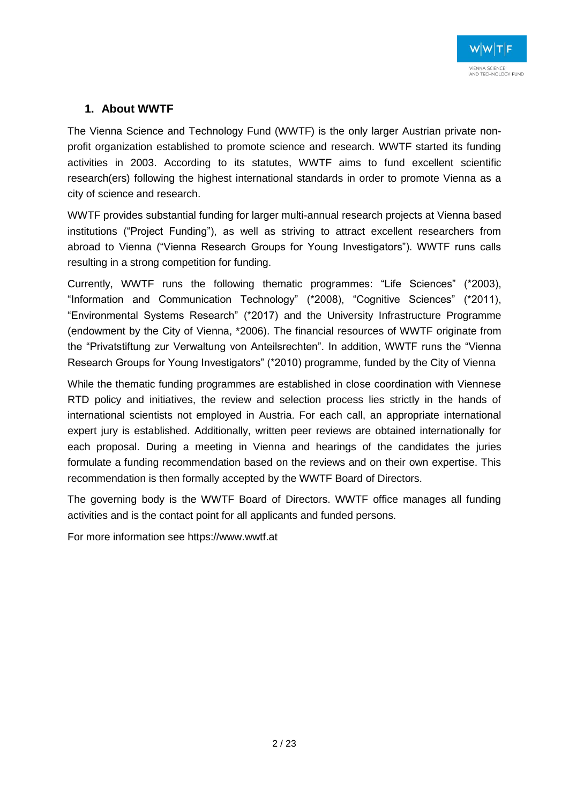#### **1. About WWTF**

The Vienna Science and Technology Fund (WWTF) is the only larger Austrian private nonprofit organization established to promote science and research. WWTF started its funding activities in 2003. According to its statutes, WWTF aims to fund excellent scientific research(ers) following the highest international standards in order to promote Vienna as a city of science and research.

WWTF provides substantial funding for larger multi-annual research projects at Vienna based institutions ("Project Funding"), as well as striving to attract excellent researchers from abroad to Vienna ("Vienna Research Groups for Young Investigators"). WWTF runs calls resulting in a strong competition for funding.

Currently, WWTF runs the following thematic programmes: "Life Sciences" (\*2003), "Information and Communication Technology" (\*2008), "Cognitive Sciences" (\*2011), "Environmental Systems Research" (\*2017) and the University Infrastructure Programme (endowment by the City of Vienna, \*2006). The financial resources of WWTF originate from the "Privatstiftung zur Verwaltung von Anteilsrechten". In addition, WWTF runs the "Vienna Research Groups for Young Investigators" (\*2010) programme, funded by the City of Vienna

While the thematic funding programmes are established in close coordination with Viennese RTD policy and initiatives, the review and selection process lies strictly in the hands of international scientists not employed in Austria. For each call, an appropriate international expert jury is established. Additionally, written peer reviews are obtained internationally for each proposal. During a meeting in Vienna and hearings of the candidates the juries formulate a funding recommendation based on the reviews and on their own expertise. This recommendation is then formally accepted by the WWTF Board of Directors.

The governing body is the WWTF Board of Directors. WWTF office manages all funding activities and is the contact point for all applicants and funded persons.

For more information see https://www.wwtf.at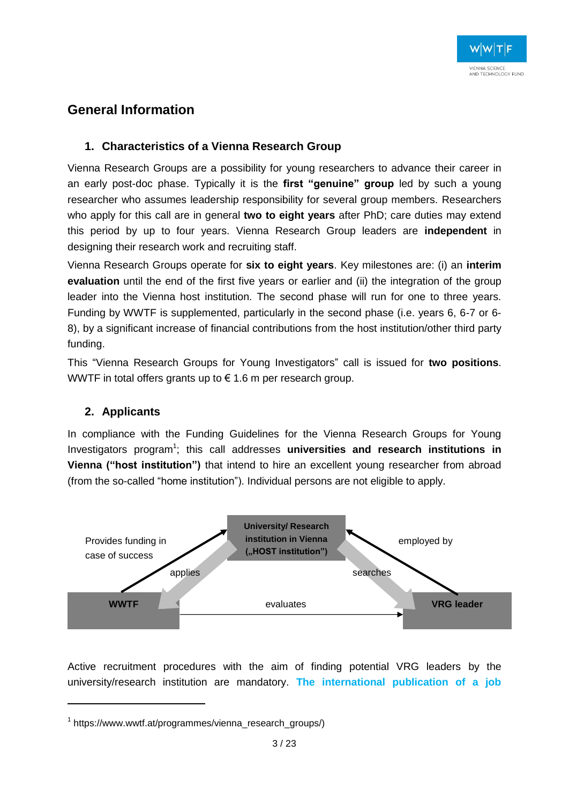#### **General Information**

#### **1. Characteristics of a Vienna Research Group**

Vienna Research Groups are a possibility for young researchers to advance their career in an early post-doc phase. Typically it is the **first "genuine" group** led by such a young researcher who assumes leadership responsibility for several group members. Researchers who apply for this call are in general **two to eight years** after PhD; care duties may extend this period by up to four years. Vienna Research Group leaders are **independent** in designing their research work and recruiting staff.

Vienna Research Groups operate for **six to eight years**. Key milestones are: (i) an **interim evaluation** until the end of the first five years or earlier and (ii) the integration of the group leader into the Vienna host institution. The second phase will run for one to three years. Funding by WWTF is supplemented, particularly in the second phase (i.e. years 6, 6-7 or 6- 8), by a significant increase of financial contributions from the host institution/other third party funding.

This "Vienna Research Groups for Young Investigators" call is issued for **two positions**. WWTF in total offers grants up to € 1.6 m per research group.

#### **2. Applicants**

1

In compliance with the Funding Guidelines for the Vienna Research Groups for Young Investigators program<sup>1</sup>; this call addresses universities and research institutions in **Vienna ("host institution")** that intend to hire an excellent young researcher from abroad (from the so-called "home institution"). Individual persons are not eligible to apply.



Active recruitment procedures with the aim of finding potential VRG leaders by the university/research institution are mandatory. **The international publication of a job** 

<sup>1</sup> https://www.wwtf.at/programmes/vienna\_research\_groups/)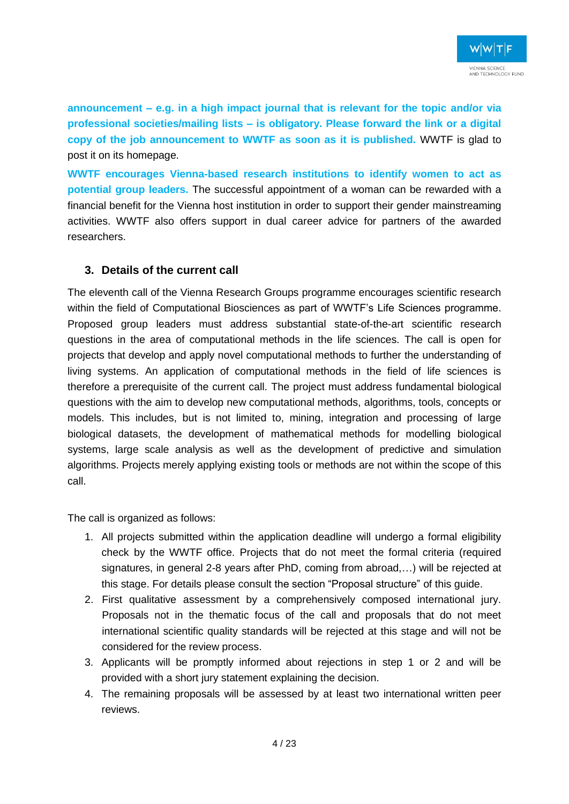**announcement – e.g. in a high impact journal that is relevant for the topic and/or via professional societies/mailing lists – is obligatory. Please forward the link or a digital copy of the job announcement to WWTF as soon as it is published.** WWTF is glad to post it on its homepage.

**WWTF encourages Vienna-based research institutions to identify women to act as potential group leaders.** The successful appointment of a woman can be rewarded with a financial benefit for the Vienna host institution in order to support their gender mainstreaming activities. WWTF also offers support in dual career advice for partners of the awarded researchers.

#### **3. Details of the current call**

The eleventh call of the Vienna Research Groups programme encourages scientific research within the field of Computational Biosciences as part of WWTF's Life Sciences programme. Proposed group leaders must address substantial state-of-the-art scientific research questions in the area of computational methods in the life sciences. The call is open for projects that develop and apply novel computational methods to further the understanding of living systems. An application of computational methods in the field of life sciences is therefore a prerequisite of the current call. The project must address fundamental biological questions with the aim to develop new computational methods, algorithms, tools, concepts or models. This includes, but is not limited to, mining, integration and processing of large biological datasets, the development of mathematical methods for modelling biological systems, large scale analysis as well as the development of predictive and simulation algorithms. Projects merely applying existing tools or methods are not within the scope of this call.

The call is organized as follows:

- 1. All projects submitted within the application deadline will undergo a formal eligibility check by the WWTF office. Projects that do not meet the formal criteria (required signatures, in general 2-8 years after PhD, coming from abroad,…) will be rejected at this stage. For details please consult the section "Proposal structure" of this guide.
- 2. First qualitative assessment by a comprehensively composed international jury. Proposals not in the thematic focus of the call and proposals that do not meet international scientific quality standards will be rejected at this stage and will not be considered for the review process.
- 3. Applicants will be promptly informed about rejections in step 1 or 2 and will be provided with a short jury statement explaining the decision.
- 4. The remaining proposals will be assessed by at least two international written peer reviews.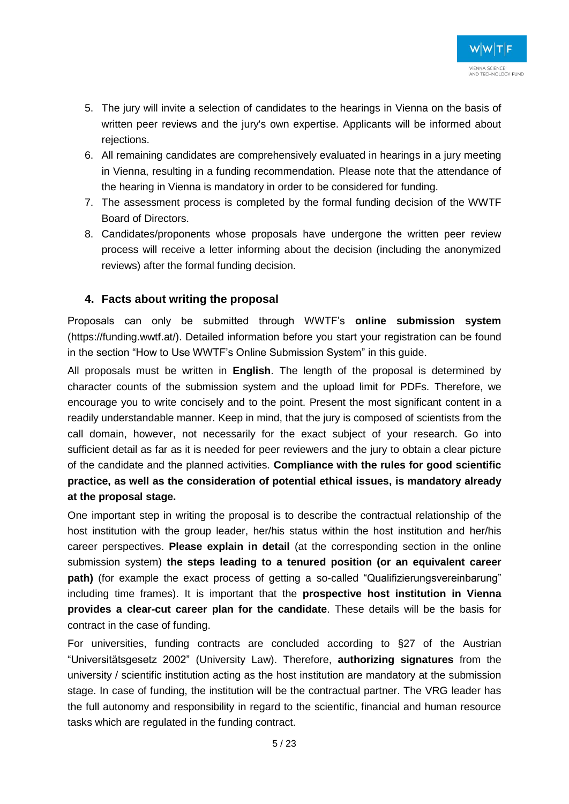- 5. The jury will invite a selection of candidates to the hearings in Vienna on the basis of written peer reviews and the jury's own expertise. Applicants will be informed about rejections.
- 6. All remaining candidates are comprehensively evaluated in hearings in a jury meeting in Vienna, resulting in a funding recommendation. Please note that the attendance of the hearing in Vienna is mandatory in order to be considered for funding.
- 7. The assessment process is completed by the formal funding decision of the WWTF Board of Directors.
- 8. Candidates/proponents whose proposals have undergone the written peer review process will receive a letter informing about the decision (including the anonymized reviews) after the formal funding decision.

#### **4. Facts about writing the proposal**

Proposals can only be submitted through WWTF's **online submission system** (https://funding.wwtf.at/). Detailed information before you start your registration can be found in the section "How to Use WWTF's Online Submission System" in this guide.

All proposals must be written in **English**. The length of the proposal is determined by character counts of the submission system and the upload limit for PDFs. Therefore, we encourage you to write concisely and to the point. Present the most significant content in a readily understandable manner. Keep in mind, that the jury is composed of scientists from the call domain, however, not necessarily for the exact subject of your research. Go into sufficient detail as far as it is needed for peer reviewers and the jury to obtain a clear picture of the candidate and the planned activities. **Compliance with the rules for good scientific practice, as well as the consideration of potential ethical issues, is mandatory already at the proposal stage.**

One important step in writing the proposal is to describe the contractual relationship of the host institution with the group leader, her/his status within the host institution and her/his career perspectives. **Please explain in detail** (at the corresponding section in the online submission system) **the steps leading to a tenured position (or an equivalent career** path) (for example the exact process of getting a so-called "Qualifizierungsvereinbarung" including time frames). It is important that the **prospective host institution in Vienna provides a clear-cut career plan for the candidate**. These details will be the basis for contract in the case of funding.

For universities, funding contracts are concluded according to §27 of the Austrian "Universitätsgesetz 2002" (University Law). Therefore, **authorizing signatures** from the university / scientific institution acting as the host institution are mandatory at the submission stage. In case of funding, the institution will be the contractual partner. The VRG leader has the full autonomy and responsibility in regard to the scientific, financial and human resource tasks which are regulated in the funding contract.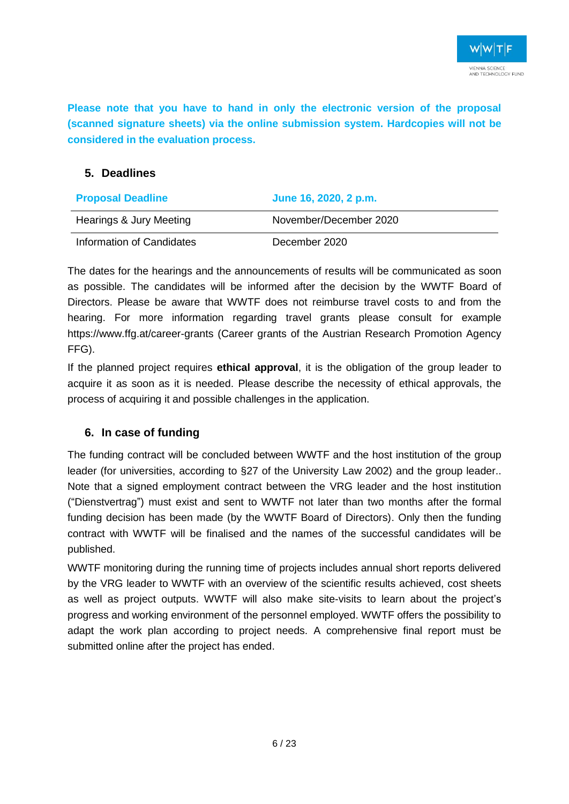**Please note that you have to hand in only the electronic version of the proposal (scanned signature sheets) via the online submission system. Hardcopies will not be considered in the evaluation process.**

#### **5. Deadlines**

| <b>Proposal Deadline</b>  | June 16, 2020, 2 p.m.  |
|---------------------------|------------------------|
| Hearings & Jury Meeting   | November/December 2020 |
| Information of Candidates | December 2020          |

The dates for the hearings and the announcements of results will be communicated as soon as possible. The candidates will be informed after the decision by the WWTF Board of Directors. Please be aware that WWTF does not reimburse travel costs to and from the hearing. For more information regarding travel grants please consult for example https://www.ffg.at/career-grants (Career grants of the Austrian Research Promotion Agency FFG).

If the planned project requires **ethical approval**, it is the obligation of the group leader to acquire it as soon as it is needed. Please describe the necessity of ethical approvals, the process of acquiring it and possible challenges in the application.

#### **6. In case of funding**

The funding contract will be concluded between WWTF and the host institution of the group leader (for universities, according to §27 of the University Law 2002) and the group leader.. Note that a signed employment contract between the VRG leader and the host institution ("Dienstvertrag") must exist and sent to WWTF not later than two months after the formal funding decision has been made (by the WWTF Board of Directors). Only then the funding contract with WWTF will be finalised and the names of the successful candidates will be published.

WWTF monitoring during the running time of projects includes annual short reports delivered by the VRG leader to WWTF with an overview of the scientific results achieved, cost sheets as well as project outputs. WWTF will also make site-visits to learn about the project's progress and working environment of the personnel employed. WWTF offers the possibility to adapt the work plan according to project needs. A comprehensive final report must be submitted online after the project has ended.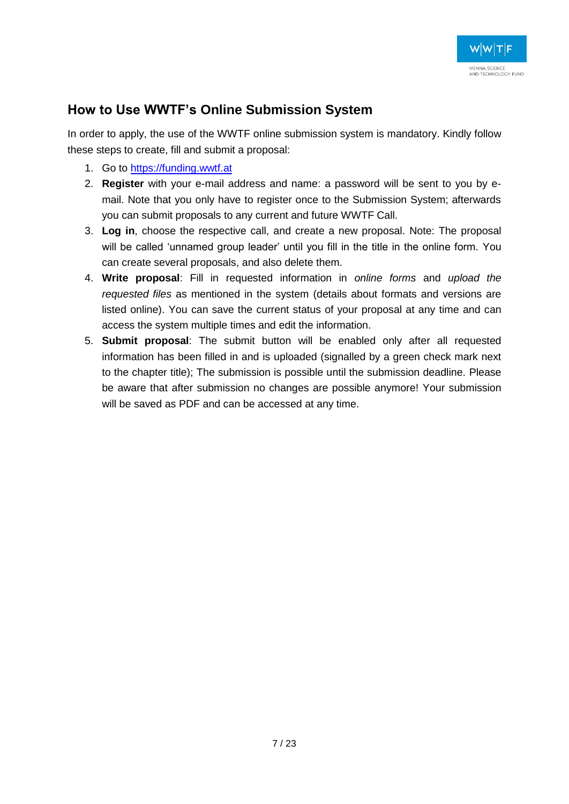#### **How to Use WWTF's Online Submission System**

In order to apply, the use of the WWTF online submission system is mandatory. Kindly follow these steps to create, fill and submit a proposal:

- 1. Go to [https://funding.wwtf.at](https://funding.wwtf.at/)
- 2. **Register** with your e-mail address and name: a password will be sent to you by email. Note that you only have to register once to the Submission System; afterwards you can submit proposals to any current and future WWTF Call.
- 3. **Log in**, choose the respective call, and create a new proposal. Note: The proposal will be called 'unnamed group leader' until you fill in the title in the online form. You can create several proposals, and also delete them.
- 4. **Write proposal**: Fill in requested information in *online forms* and *upload the requested files* as mentioned in the system (details about formats and versions are listed online). You can save the current status of your proposal at any time and can access the system multiple times and edit the information.
- 5. **Submit proposal**: The submit button will be enabled only after all requested information has been filled in and is uploaded (signalled by a green check mark next to the chapter title); The submission is possible until the submission deadline. Please be aware that after submission no changes are possible anymore! Your submission will be saved as PDF and can be accessed at any time.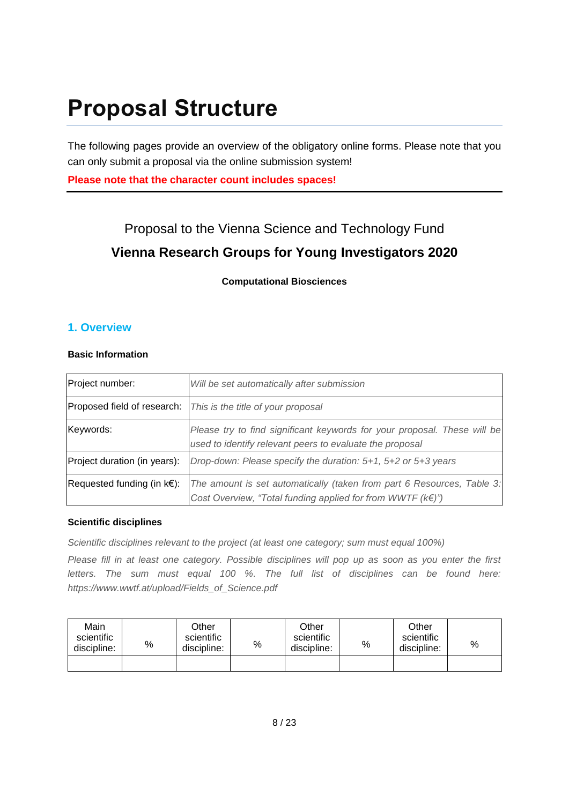# **Proposal Structure**

The following pages provide an overview of the obligatory online forms. Please note that you can only submit a proposal via the online submission system!

**Please note that the character count includes spaces!**

### Proposal to the Vienna Science and Technology Fund **Vienna Research Groups for Young Investigators 2020**

#### **Computational Biosciences**

#### **1. Overview**

#### **Basic Information**

| Project number:                             | Will be set automatically after submission                                                                                                             |
|---------------------------------------------|--------------------------------------------------------------------------------------------------------------------------------------------------------|
|                                             | Proposed field of research:   This is the title of your proposal                                                                                       |
| Keywords:                                   | Please try to find significant keywords for your proposal. These will be<br>used to identify relevant peers to evaluate the proposal                   |
| Project duration (in years):                | Drop-down: Please specify the duration: 5+1, 5+2 or 5+3 years                                                                                          |
| Requested funding (in $k \in \mathbb{R}$ ): | The amount is set automatically (taken from part 6 Resources, Table 3:<br>Cost Overview, "Total funding applied for from WWTF ( $k \in \mathbb{N}$ )") |

#### **Scientific disciplines**

*Scientific disciplines relevant to the project (at least one category; sum must equal 100%)*

*Please fill in at least one category. Possible disciplines will pop up as soon as you enter the first letters. The sum must equal 100 %. The full list of disciplines can be found here: https://www.wwtf.at/upload/Fields\_of\_Science.pdf*

| Main<br>scientific<br>discipline: | % | Other<br>scientific<br>discipline: | % | Other<br>scientific<br>discipline: | % | Other<br>scientific<br>discipline: | % |
|-----------------------------------|---|------------------------------------|---|------------------------------------|---|------------------------------------|---|
|                                   |   |                                    |   |                                    |   |                                    |   |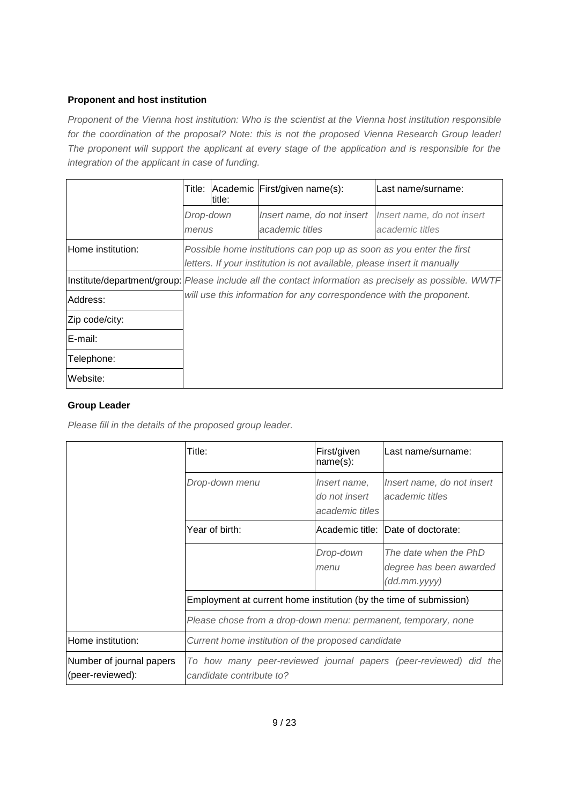#### **Proponent and host institution**

*Proponent of the Vienna host institution: Who is the scientist at the Vienna host institution responsible for the coordination of the proposal? Note: this is not the proposed Vienna Research Group leader! The proponent will support the applicant at every stage of the application and is responsible for the integration of the applicant in case of funding.*

|                   | Title:                                                                                                | title: | Academic First/given name(s):                                                                                                                    | Last name/surname:                            |  |  |  |
|-------------------|-------------------------------------------------------------------------------------------------------|--------|--------------------------------------------------------------------------------------------------------------------------------------------------|-----------------------------------------------|--|--|--|
|                   | Drop-down<br>menus                                                                                    |        | Insert name, do not insert<br>academic titles                                                                                                    | Insert name, do not insert<br>academic titles |  |  |  |
| Home institution: |                                                                                                       |        | Possible home institutions can pop up as soon as you enter the first<br>letters. If your institution is not available, please insert it manually |                                               |  |  |  |
|                   | Institute/department/group: Please include all the contact information as precisely as possible. WWTF |        |                                                                                                                                                  |                                               |  |  |  |
| Address:          | will use this information for any correspondence with the proponent.                                  |        |                                                                                                                                                  |                                               |  |  |  |
| Zip code/city:    |                                                                                                       |        |                                                                                                                                                  |                                               |  |  |  |
| E-mail:           |                                                                                                       |        |                                                                                                                                                  |                                               |  |  |  |
| Telephone:        |                                                                                                       |        |                                                                                                                                                  |                                               |  |  |  |
| Website:          |                                                                                                       |        |                                                                                                                                                  |                                               |  |  |  |

#### **Group Leader**

*Please fill in the details of the proposed group leader.*

|                                              | Title:                                                                                       | First/given<br>name(s):                          | Last name/surname:                                               |  |  |  |
|----------------------------------------------|----------------------------------------------------------------------------------------------|--------------------------------------------------|------------------------------------------------------------------|--|--|--|
|                                              | Drop-down menu                                                                               | Insert name,<br>do not insert<br>academic titles | Insert name, do not insert<br>academic titles                    |  |  |  |
|                                              | Year of birth:                                                                               |                                                  | Academic title: Date of doctorate:                               |  |  |  |
|                                              |                                                                                              | Drop-down<br>menu                                | The date when the PhD<br>degree has been awarded<br>(dd.mm.yyyy) |  |  |  |
|                                              | Employment at current home institution (by the time of submission)                           |                                                  |                                                                  |  |  |  |
|                                              | Please chose from a drop-down menu: permanent, temporary, none                               |                                                  |                                                                  |  |  |  |
| Home institution:                            | Current home institution of the proposed candidate                                           |                                                  |                                                                  |  |  |  |
| Number of journal papers<br>(peer-reviewed): | To how many peer-reviewed journal papers (peer-reviewed) did the<br>candidate contribute to? |                                                  |                                                                  |  |  |  |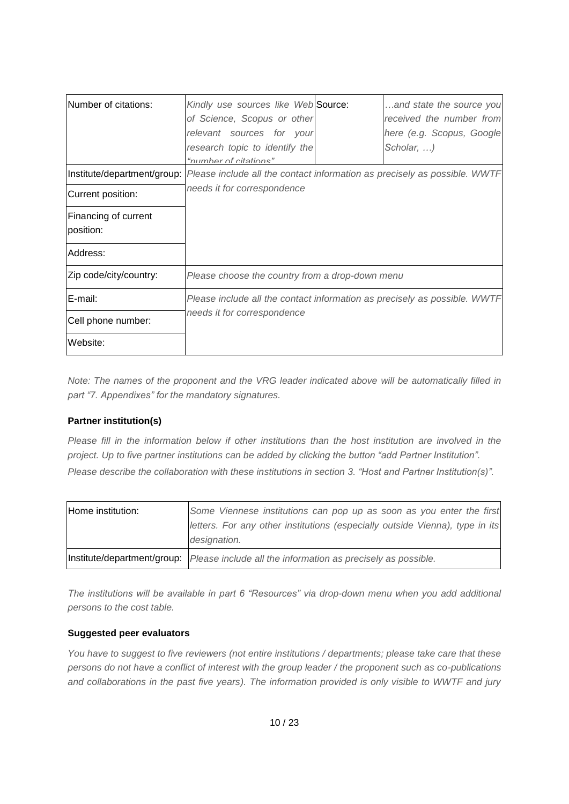| Number of citations:              | Kindly use sources like Web Source:<br>of Science, Scopus or other                                      | and state the source you<br>received the number from |
|-----------------------------------|---------------------------------------------------------------------------------------------------------|------------------------------------------------------|
|                                   | relevant sources for your                                                                               | here (e.g. Scopus, Google                            |
|                                   | research topic to identify the                                                                          | Scholar, )                                           |
|                                   | "numhar of citations"                                                                                   |                                                      |
|                                   | Institute/department/group:   Please include all the contact information as precisely as possible. WWTF |                                                      |
| Current position:                 | needs it for correspondence                                                                             |                                                      |
| Financing of current<br>position: |                                                                                                         |                                                      |
| Address:                          |                                                                                                         |                                                      |
| Zip code/city/country:            | Please choose the country from a drop-down menu                                                         |                                                      |
| E-mail:                           | Please include all the contact information as precisely as possible. WWTF                               |                                                      |
| Cell phone number:                | needs it for correspondence                                                                             |                                                      |
| Website:                          |                                                                                                         |                                                      |

*Note: The names of the proponent and the VRG leader indicated above will be automatically filled in part "7. Appendixes" for the mandatory signatures.* 

#### **Partner institution(s)**

*Please fill in the information below if other institutions than the host institution are involved in the project. Up to five partner institutions can be added by clicking the button "add Partner Institution". Please describe the collaboration with these institutions in section 3. "Host and Partner Institution(s)".*

| Home institution: | Some Viennese institutions can pop up as soon as you enter the first                                      |
|-------------------|-----------------------------------------------------------------------------------------------------------|
|                   | letters. For any other institutions (especially outside Vienna), type in its                              |
|                   | designation.                                                                                              |
|                   | $ $ Institute/department/group: $ P $ <i>Please include all the information as precisely as possible.</i> |

*The institutions will be available in part 6 "Resources" via drop-down menu when you add additional persons to the cost table.*

#### **Suggested peer evaluators**

*You have to suggest to five reviewers (not entire institutions / departments; please take care that these persons do not have a conflict of interest with the group leader / the proponent such as co-publications and collaborations in the past five years). The information provided is only visible to WWTF and jury*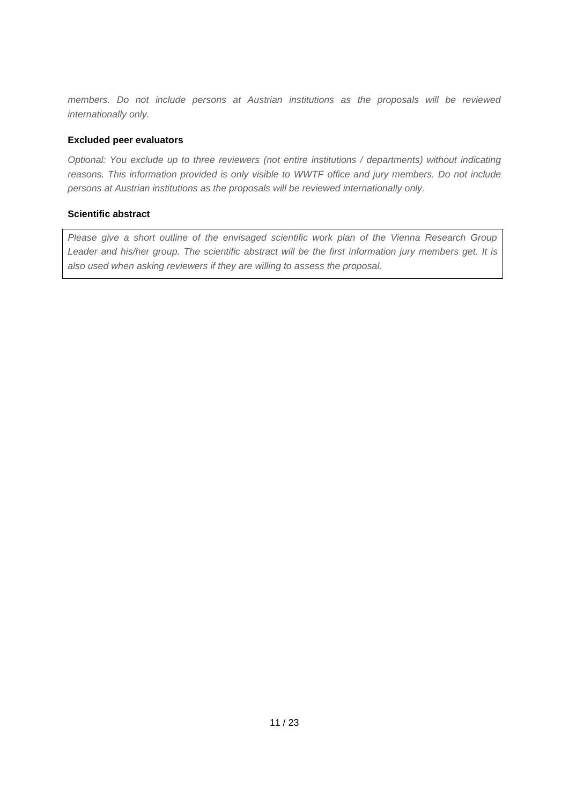*members. Do not include persons at Austrian institutions as the proposals will be reviewed internationally only.*

#### **Excluded peer evaluators**

*Optional: You exclude up to three reviewers (not entire institutions / departments) without indicating reasons. This information provided is only visible to WWTF office and jury members. Do not include persons at Austrian institutions as the proposals will be reviewed internationally only.*

#### **Scientific abstract**

*Please give a short outline of the envisaged scientific work plan of the Vienna Research Group*  Leader and his/her group. The scientific abstract will be the first information jury members get. It is *also used when asking reviewers if they are willing to assess the proposal.*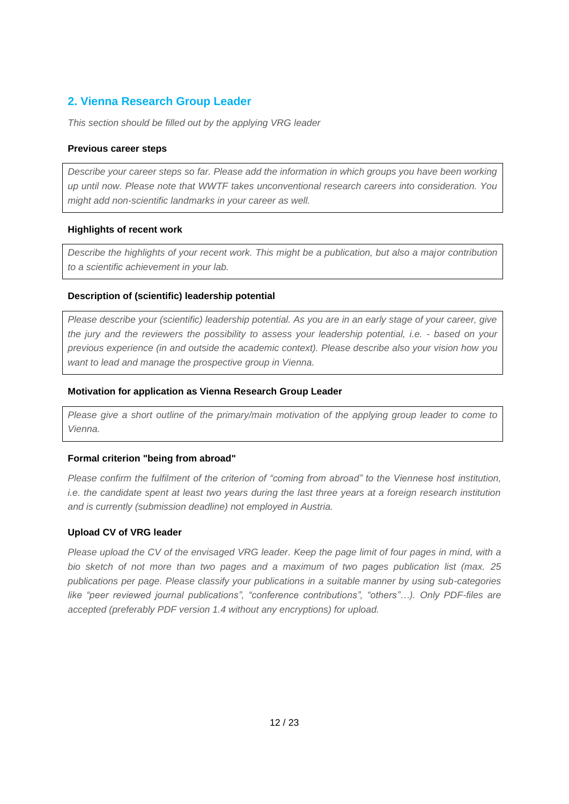#### **2. Vienna Research Group Leader**

*This section should be filled out by the applying VRG leader*

#### **Previous career steps**

*Describe your career steps so far. Please add the information in which groups you have been working up until now. Please note that WWTF takes unconventional research careers into consideration. You might add non-scientific landmarks in your career as well.*

#### **Highlights of recent work**

*Describe the highlights of your recent work. This might be a publication, but also a major contribution to a scientific achievement in your lab.*

#### **Description of (scientific) leadership potential**

*Please describe your (scientific) leadership potential. As you are in an early stage of your career, give the jury and the reviewers the possibility to assess your leadership potential, i.e. - based on your previous experience (in and outside the academic context). Please describe also your vision how you want to lead and manage the prospective group in Vienna.* 

#### **Motivation for application as Vienna Research Group Leader**

*Please give a short outline of the primary/main motivation of the applying group leader to come to Vienna.*

#### **Formal criterion "being from abroad"**

*Please confirm the fulfilment of the criterion of "coming from abroad" to the Viennese host institution, i.e. the candidate spent at least two years during the last three years at a foreign research institution and is currently (submission deadline) not employed in Austria.*

#### **Upload CV of VRG leader**

*Please upload the CV of the envisaged VRG leader. Keep the page limit of four pages in mind, with a bio sketch of not more than two pages and a maximum of two pages publication list (max. 25 publications per page. Please classify your publications in a suitable manner by using sub-categories like "peer reviewed journal publications", "conference contributions", "others"…). Only PDF-files are accepted (preferably PDF version 1.4 without any encryptions) for upload.*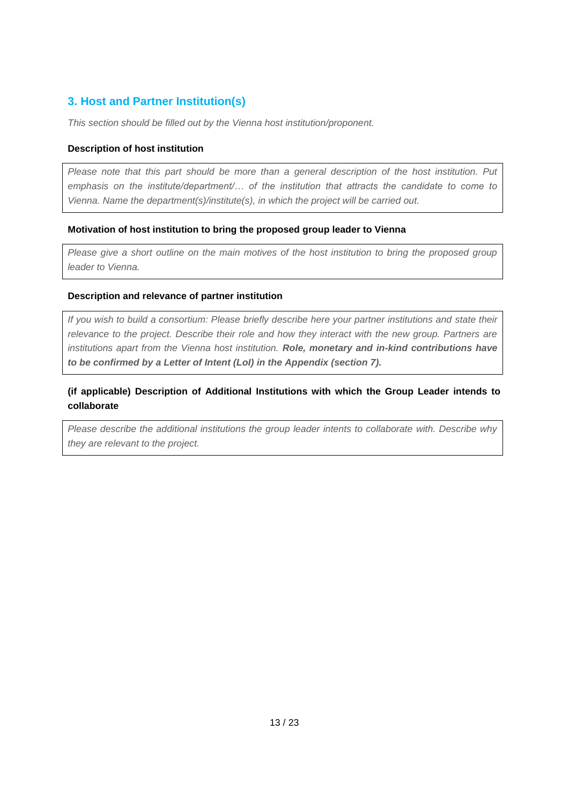#### **3. Host and Partner Institution(s)**

*This section should be filled out by the Vienna host institution/proponent.* 

#### **Description of host institution**

*Please note that this part should be more than a general description of the host institution. Put emphasis on the institute/department/… of the institution that attracts the candidate to come to Vienna. Name the department(s)/institute(s), in which the project will be carried out.*

#### **Motivation of host institution to bring the proposed group leader to Vienna**

*Please give a short outline on the main motives of the host institution to bring the proposed group leader to Vienna.* 

#### **Description and relevance of partner institution**

*If you wish to build a consortium: Please briefly describe here your partner institutions and state their relevance to the project. Describe their role and how they interact with the new group. Partners are institutions apart from the Vienna host institution. Role, monetary and in-kind contributions have to be confirmed by a Letter of Intent (LoI) in the Appendix (section 7).*

#### **(if applicable) Description of Additional Institutions with which the Group Leader intends to collaborate**

*Please describe the additional institutions the group leader intents to collaborate with. Describe why they are relevant to the project.*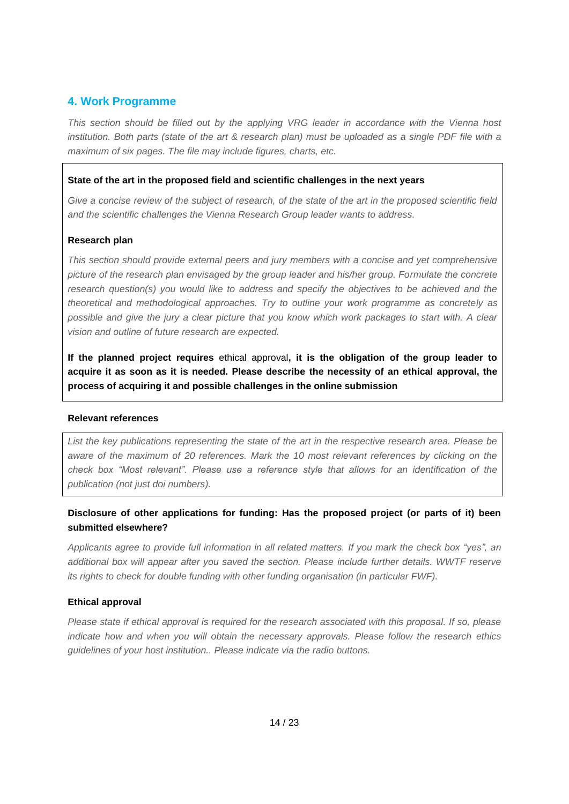#### **4. Work Programme**

*This section should be filled out by the applying VRG leader in accordance with the Vienna host institution. Both parts (state of the art & research plan) must be uploaded as a single PDF file with a maximum of six pages. The file may include figures, charts, etc.*

#### **State of the art in the proposed field and scientific challenges in the next years**

*Give a concise review of the subject of research, of the state of the art in the proposed scientific field and the scientific challenges the Vienna Research Group leader wants to address.*

#### **Research plan**

*This section should provide external peers and jury members with a concise and yet comprehensive picture of the research plan envisaged by the group leader and his/her group. Formulate the concrete research question(s) you would like to address and specify the objectives to be achieved and the theoretical and methodological approaches. Try to outline your work programme as concretely as possible and give the jury a clear picture that you know which work packages to start with. A clear vision and outline of future research are expected.* 

**If the planned project requires** ethical approval**, it is the obligation of the group leader to acquire it as soon as it is needed. Please describe the necessity of an ethical approval, the process of acquiring it and possible challenges in the online submission**

#### **Relevant references**

*List the key publications representing the state of the art in the respective research area. Please be aware of the maximum of 20 references. Mark the 10 most relevant references by clicking on the check box "Most relevant". Please use a reference style that allows for an identification of the publication (not just doi numbers).* 

#### **Disclosure of other applications for funding: Has the proposed project (or parts of it) been submitted elsewhere?**

*Applicants agree to provide full information in all related matters. If you mark the check box "yes", an additional box will appear after you saved the section. Please include further details. WWTF reserve its rights to check for double funding with other funding organisation (in particular FWF).*

#### **Ethical approval**

*Please state if ethical approval is required for the research associated with this proposal. If so, please indicate how and when you will obtain the necessary approvals. Please follow the research ethics guidelines of your host institution.. Please indicate via the radio buttons.*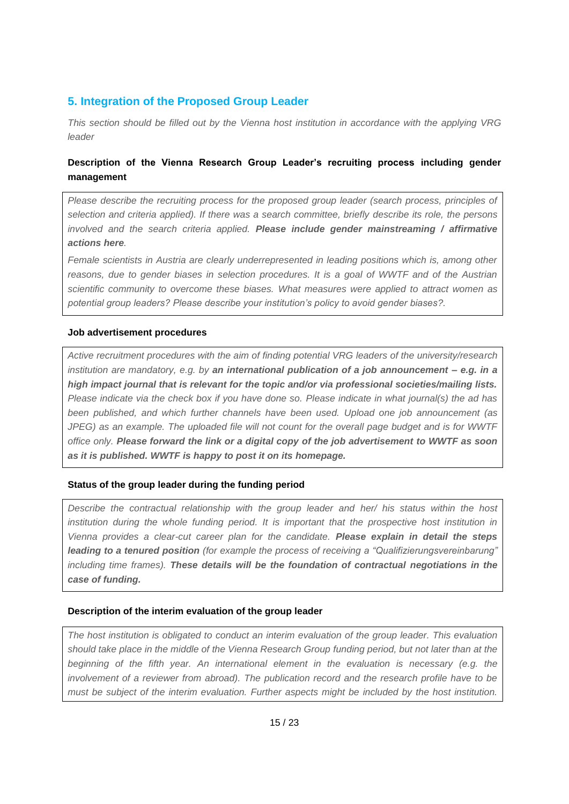#### **5. Integration of the Proposed Group Leader**

*This section should be filled out by the Vienna host institution in accordance with the applying VRG leader*

#### **Description of the Vienna Research Group Leader's recruiting process including gender management**

*Please describe the recruiting process for the proposed group leader (search process, principles of selection and criteria applied). If there was a search committee, briefly describe its role, the persons involved and the search criteria applied. Please include gender mainstreaming / affirmative actions here.* 

*Female scientists in Austria are clearly underrepresented in leading positions which is, among other reasons, due to gender biases in selection procedures. It is a goal of WWTF and of the Austrian scientific community to overcome these biases. What measures were applied to attract women as potential group leaders? Please describe your institution's policy to avoid gender biases?.*

#### **Job advertisement procedures**

*Active recruitment procedures with the aim of finding potential VRG leaders of the university/research institution are mandatory, e.g. by an international publication of a job announcement – e.g. in a high impact journal that is relevant for the topic and/or via professional societies/mailing lists. Please indicate via the check box if you have done so. Please indicate in what journal(s) the ad has been published, and which further channels have been used. Upload one job announcement (as JPEG) as an example. The uploaded file will not count for the overall page budget and is for WWTF office only. Please forward the link or a digital copy of the job advertisement to WWTF as soon as it is published. WWTF is happy to post it on its homepage.*

#### **Status of the group leader during the funding period**

*Describe the contractual relationship with the group leader and her/ his status within the host institution during the whole funding period. It is important that the prospective host institution in Vienna provides a clear-cut career plan for the candidate. Please explain in detail the steps leading to a tenured position (for example the process of receiving a "Qualifizierungsvereinbarung" including time frames). These details will be the foundation of contractual negotiations in the case of funding.*

#### **Description of the interim evaluation of the group leader**

*The host institution is obligated to conduct an interim evaluation of the group leader. This evaluation should take place in the middle of the Vienna Research Group funding period, but not later than at the beginning of the fifth year. An international element in the evaluation is necessary (e.g. the involvement of a reviewer from abroad). The publication record and the research profile have to be must be subject of the interim evaluation. Further aspects might be included by the host institution.*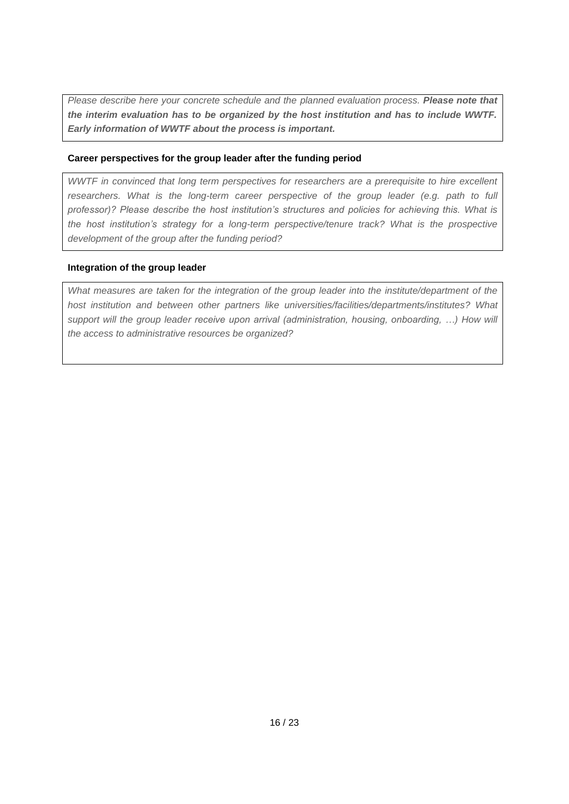*Please describe here your concrete schedule and the planned evaluation process. Please note that the interim evaluation has to be organized by the host institution and has to include WWTF. Early information of WWTF about the process is important.*

#### **Career perspectives for the group leader after the funding period**

*WWTF in convinced that long term perspectives for researchers are a prerequisite to hire excellent researchers. What is the long-term career perspective of the group leader (e.g. path to full professor)? Please describe the host institution's structures and policies for achieving this. What is the host institution's strategy for a long-term perspective/tenure track? What is the prospective development of the group after the funding period?*

#### **Integration of the group leader**

*What measures are taken for the integration of the group leader into the institute/department of the host institution and between other partners like universities/facilities/departments/institutes? What support will the group leader receive upon arrival (administration, housing, onboarding, …) How will the access to administrative resources be organized?*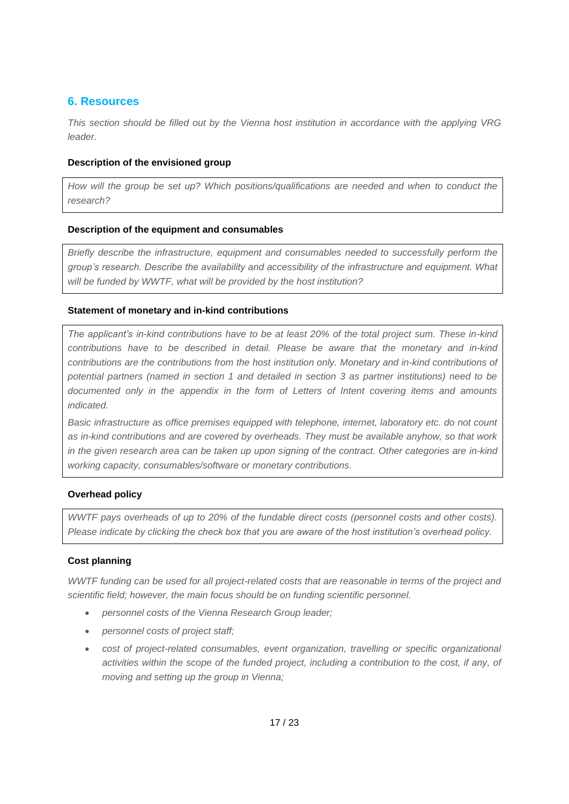#### **6. Resources**

*This section should be filled out by the Vienna host institution in accordance with the applying VRG leader.*

#### **Description of the envisioned group**

*How will the group be set up? Which positions/qualifications are needed and when to conduct the research?*

#### **Description of the equipment and consumables**

*Briefly describe the infrastructure, equipment and consumables needed to successfully perform the group's research. Describe the availability and accessibility of the infrastructure and equipment. What will be funded by WWTF, what will be provided by the host institution?*

#### **Statement of monetary and in-kind contributions**

*The applicant's in-kind contributions have to be at least 20% of the total project sum. These in-kind contributions have to be described in detail. Please be aware that the monetary and in-kind contributions are the contributions from the host institution only. Monetary and in-kind contributions of potential partners (named in section 1 and detailed in section 3 as partner institutions) need to be documented only in the appendix in the form of Letters of Intent covering items and amounts indicated.*

*Basic infrastructure as office premises equipped with telephone, internet, laboratory etc. do not count as in-kind contributions and are covered by overheads. They must be available anyhow, so that work in the given research area can be taken up upon signing of the contract. Other categories are in-kind working capacity, consumables/software or monetary contributions.*

#### **Overhead policy**

*WWTF pays overheads of up to 20% of the fundable direct costs (personnel costs and other costs). Please indicate by clicking the check box that you are aware of the host institution's overhead policy.*

#### **Cost planning**

*WWTF funding can be used for all project-related costs that are reasonable in terms of the project and scientific field; however, the main focus should be on funding scientific personnel.* 

- *personnel costs of the Vienna Research Group leader;*
- *personnel costs of project staff;*
- *cost of project-related consumables, event organization, travelling or specific organizational activities within the scope of the funded project, including a contribution to the cost, if any, of moving and setting up the group in Vienna;*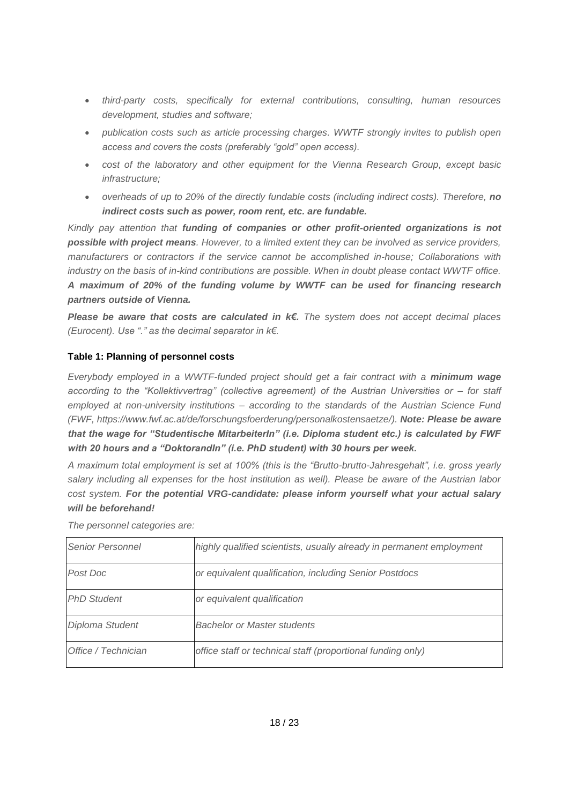- *third-party costs, specifically for external contributions, consulting, human resources development, studies and software;*
- *publication costs such as article processing charges. WWTF strongly invites to publish open access and covers the costs (preferably "gold" open access).*
- *cost of the laboratory and other equipment for the Vienna Research Group, except basic infrastructure;*
- *overheads of up to 20% of the directly fundable costs (including indirect costs). Therefore, no indirect costs such as power, room rent, etc. are fundable.*

*Kindly pay attention that funding of companies or other profit-oriented organizations is not possible with project means. However, to a limited extent they can be involved as service providers, manufacturers or contractors if the service cannot be accomplished in-house; Collaborations with industry on the basis of in-kind contributions are possible. When in doubt please contact WWTF office. A maximum of 20% of the funding volume by WWTF can be used for financing research partners outside of Vienna.*

*Please be aware that costs are calculated in k€. The system does not accept decimal places (Eurocent). Use "." as the decimal separator in k€.*

#### **Table 1: Planning of personnel costs**

*Everybody employed in a WWTF-funded project should get a fair contract with a minimum wage according to the "Kollektivvertrag" (collective agreement) of the Austrian Universities or – for staff employed at non-university institutions – according to the standards of the Austrian Science Fund (FWF, https://www.fwf.ac.at/de/forschungsfoerderung/personalkostensaetze/). Note: Please be aware that the wage for "Studentische MitarbeiterIn" (i.e. Diploma student etc.) is calculated by FWF with 20 hours and a "DoktorandIn" (i.e. PhD student) with 30 hours per week.* 

*A maximum total employment is set at 100% (this is the "Brutto-brutto-Jahresgehalt", i.e. gross yearly salary including all expenses for the host institution as well). Please be aware of the Austrian labor cost system. For the potential VRG-candidate: please inform yourself what your actual salary will be beforehand!* 

| <b>Senior Personnel</b> | highly qualified scientists, usually already in permanent employment |
|-------------------------|----------------------------------------------------------------------|
| Post Doc                | or equivalent qualification, including Senior Postdocs               |
| <b>PhD Student</b>      | or equivalent qualification                                          |
| Diploma Student         | <b>Bachelor or Master students</b>                                   |
| Office / Technician     | office staff or technical staff (proportional funding only)          |

*The personnel categories are:*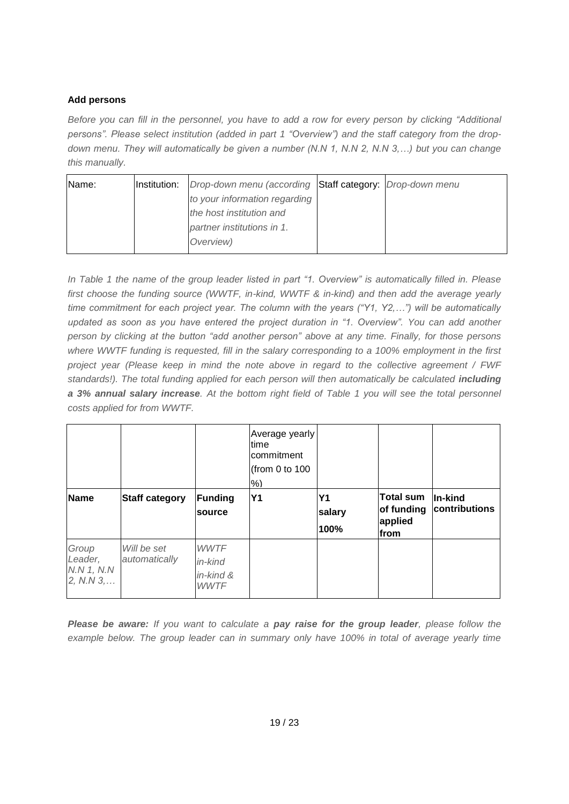#### **Add persons**

*Before you can fill in the personnel, you have to add a row for every person by clicking "Additional persons". Please select institution (added in part 1 "Overview") and the staff category from the dropdown menu. They will automatically be given a number (N.N 1, N.N 2, N.N 3,…) but you can change this manually.*

| Name: | Institution: | Drop-down menu (according Staff category: Drop-down menu |  |
|-------|--------------|----------------------------------------------------------|--|
|       |              | to your information regarding                            |  |
|       |              | the host institution and                                 |  |
|       |              | partner institutions in 1.                               |  |
|       |              | Overview)                                                |  |

*In Table 1 the name of the group leader listed in part "1. Overview" is automatically filled in. Please first choose the funding source (WWTF, in-kind, WWTF & in-kind) and then add the average yearly time commitment for each project year. The column with the years ("Y1, Y2,…") will be automatically updated as soon as you have entered the project duration in "1. Overview". You can add another person by clicking at the button "add another person" above at any time. Finally, for those persons where WWTF funding is requested, fill in the salary corresponding to a 100% employment in the first project year (Please keep in mind the note above in regard to the collective agreement / FWF*  standards!). The total funding applied for each person will then automatically be calculated *including a 3% annual salary increase. At the bottom right field of Table 1 you will see the total personnel costs applied for from WWTF.* 

|                                             |                              |                                                       | Average yearly<br><b>Itime</b><br>lcommitment<br>(from 0 to 100)<br>$%$ ) |                             |                                                   |                          |
|---------------------------------------------|------------------------------|-------------------------------------------------------|---------------------------------------------------------------------------|-----------------------------|---------------------------------------------------|--------------------------|
| Name                                        | <b>Staff category</b>        | Funding<br>source                                     | <b>Y1</b>                                                                 | <b>Y1</b><br>salary<br>100% | <b>Total sum</b><br>of funding<br>applied<br>from | In-kind<br>contributions |
| Group<br>Leader,<br>N.N 1, N.N<br>2, N.N.3, | Will be set<br>automatically | <b>WWTF</b><br>in-kind<br>$in$ -kind &<br><b>WWTF</b> |                                                                           |                             |                                                   |                          |

*Please be aware: If you want to calculate a pay raise for the group leader, please follow the example below. The group leader can in summary only have 100% in total of average yearly time*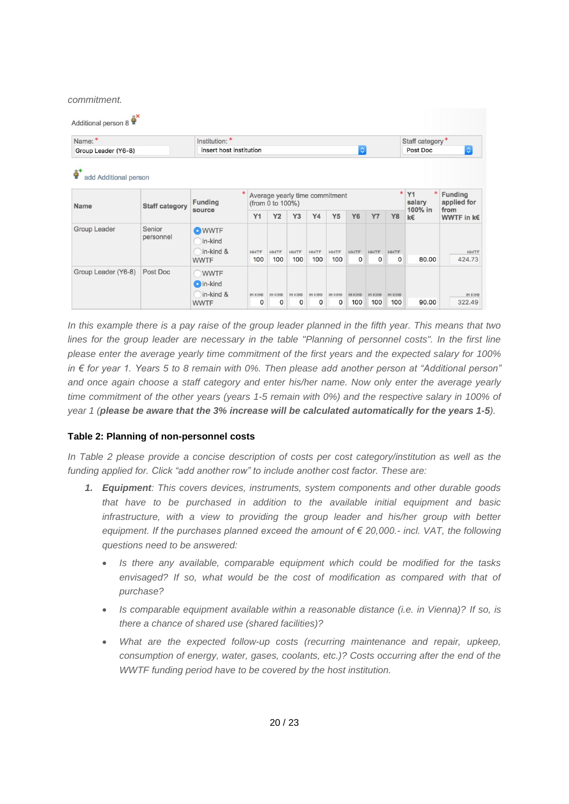*commitment.*

| Name:*<br>Institution: *                          |                       |                                         |                |                                                    |                |                |                |                  |                |                | Staff category*                |                               |  |
|---------------------------------------------------|-----------------------|-----------------------------------------|----------------|----------------------------------------------------|----------------|----------------|----------------|------------------|----------------|----------------|--------------------------------|-------------------------------|--|
| Group Leader (Y6-8)                               |                       | insert host institution                 |                |                                                    |                |                |                | $ \hat{\bm{z}} $ |                |                | $ \diamond\rangle$<br>Post Doc |                               |  |
| $^{\circ+}$<br>₩<br>add Additional person<br>Name | <b>Staff category</b> | <b>Funding</b>                          |                | Average yearly time commitment<br>(from 0 to 100%) |                |                |                |                  |                |                | * Y1<br>salary                 | <b>Funding</b><br>applied for |  |
|                                                   |                       | source                                  | Y1             | Y2                                                 | Y3             | Y4             | Y5             | <b>Y6</b>        | <b>Y7</b>      | <b>Y8</b>      | 100% in<br>k€                  | from<br>WWTF in k€            |  |
| Group Leader                                      | Senior<br>personnel   | <b>O</b> WWTF<br>in-kind<br>in-kind &   | <b>WWTF</b>    | <b>WWTF</b>                                        | <b>WWTF</b>    | <b>WWTF</b>    | <b>WWTF</b>    | <b>WWTF</b>      | <b>WWTF</b>    | <b>WWTF</b>    |                                | <b>WWTF</b>                   |  |
|                                                   |                       | <b>WWTF</b>                             | 100            | 100                                                | 100            | 100            | 100            | $\mathbf 0$      | $\Omega$       | $\circ$        | 80.00                          | 424.73                        |  |
| Group Leader (Y6-8)                               | Post Doc              | WWTF<br>$\bigcirc$ in-kind<br>in-kind & | <b>IN KIND</b> | <b>IN KIND</b>                                     | <b>IN KIND</b> | <b>IN KIND</b> | <b>IN KIND</b> | <b>IN KIND</b>   | <b>IN KIND</b> | <b>IN KIND</b> |                                | <b>IN KIND</b>                |  |
|                                                   |                       | <b>WWTF</b>                             | 0              | $\mathbf 0$                                        | 0              | $\Omega$       | O              | 100              | 100            | 100            | 90.00                          | 322.49                        |  |

*In this example there is a pay raise of the group leader planned in the fifth year. This means that two lines for the group leader are necessary in the table "Planning of personnel costs". In the first line please enter the average yearly time commitment of the first years and the expected salary for 100% in € for year 1. Years 5 to 8 remain with 0%. Then please add another person at "Additional person" and once again choose a staff category and enter his/her name. Now only enter the average yearly time commitment of the other years (years 1-5 remain with 0%) and the respective salary in 100% of year 1 (please be aware that the 3% increase will be calculated automatically for the years 1-5).*

#### **Table 2: Planning of non-personnel costs**

*In Table 2 please provide a concise description of costs per cost category/institution as well as the funding applied for. Click "add another row" to include another cost factor. These are:*

- *1. Equipment: This covers devices, instruments, system components and other durable goods that have to be purchased in addition to the available initial equipment and basic infrastructure, with a view to providing the group leader and his/her group with better equipment. If the purchases planned exceed the amount of € 20,000.- incl. VAT, the following questions need to be answered:* 
	- *Is there any available, comparable equipment which could be modified for the tasks envisaged? If so, what would be the cost of modification as compared with that of purchase?*
	- *Is comparable equipment available within a reasonable distance (i.e. in Vienna)? If so, is there a chance of shared use (shared facilities)?*
	- *What are the expected follow-up costs (recurring maintenance and repair, upkeep, consumption of energy, water, gases, coolants, etc.)? Costs occurring after the end of the WWTF funding period have to be covered by the host institution.*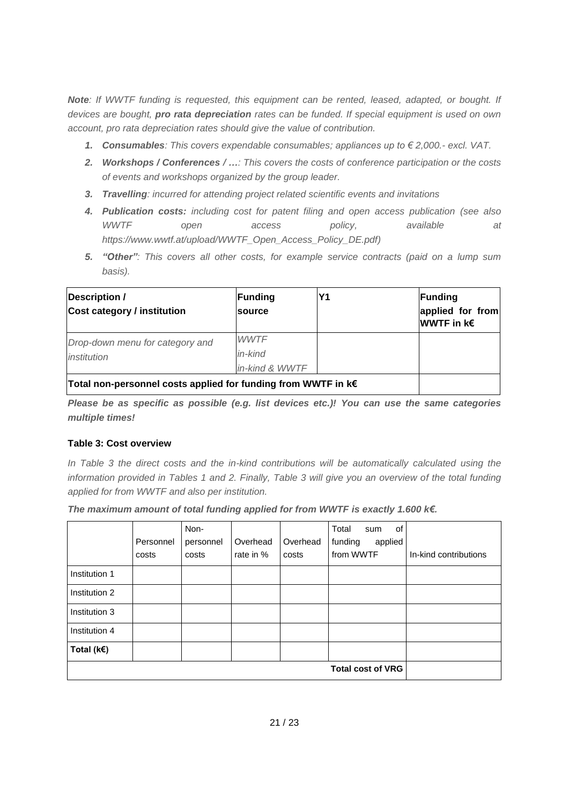*Note: If WWTF funding is requested, this equipment can be rented, leased, adapted, or bought. If devices are bought, pro rata depreciation rates can be funded. If special equipment is used on own account, pro rata depreciation rates should give the value of contribution.* 

- *1. Consumables: This covers expendable consumables; appliances up to € 2,000.- excl. VAT.*
- *2. Workshops / Conferences / …: This covers the costs of conference participation or the costs of events and workshops organized by the group leader.*
- *3. Travelling: incurred for attending project related scientific events and invitations*
- *4. Publication costs: including cost for patent filing and open access publication (see also WWTF open access policy, available at https://www.wwtf.at/upload/WWTF\_Open\_Access\_Policy\_DE.pdf)*
- *5. "Other": This covers all other costs, for example service contracts (paid on a lump sum basis).*

| Description /<br><b>Cost category / institution</b>                | Funding<br>source | Υ1 | Funding<br>applied for from<br><b>WWTF</b> in k€ |
|--------------------------------------------------------------------|-------------------|----|--------------------------------------------------|
| Drop-down menu for category and                                    | <b>WWTF</b>       |    |                                                  |
| institution                                                        | in-kind           |    |                                                  |
|                                                                    | in-kind & WWTF    |    |                                                  |
| Total non-personnel costs applied for funding from WWTF in $k \in$ |                   |    |                                                  |

*Please be as specific as possible (e.g. list devices etc.)! You can use the same categories multiple times!*

#### **Table 3: Cost overview**

In Table 3 the direct costs and the in-kind contributions will be automatically calculated using the *information provided in Tables 1 and 2. Finally, Table 3 will give you an overview of the total funding applied for from WWTF and also per institution.* 

*The maximum amount of total funding applied for from WWTF is exactly 1.600 k€.* 

|                   | Personnel<br>costs | Non-<br>personnel<br>costs | Overhead<br>rate in % | Overhead<br>costs | Total<br>of<br>sum<br>applied<br>funding<br>from WWTF | In-kind contributions |
|-------------------|--------------------|----------------------------|-----------------------|-------------------|-------------------------------------------------------|-----------------------|
| Institution 1     |                    |                            |                       |                   |                                                       |                       |
| Institution 2     |                    |                            |                       |                   |                                                       |                       |
| Institution 3     |                    |                            |                       |                   |                                                       |                       |
| Institution 4     |                    |                            |                       |                   |                                                       |                       |
| Total ( $k \in$ ) |                    |                            |                       |                   |                                                       |                       |
|                   |                    |                            |                       |                   |                                                       |                       |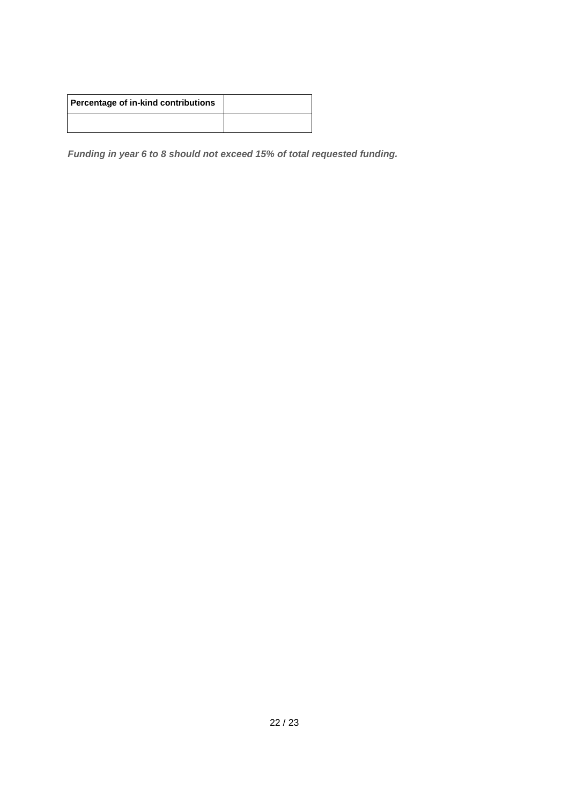| Percentage of in-kind contributions |  |
|-------------------------------------|--|
|                                     |  |

*Funding in year 6 to 8 should not exceed 15% of total requested funding.*